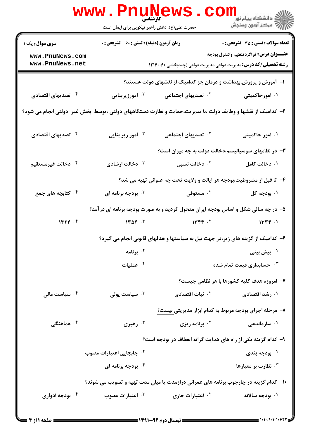|                                                                                                               | <b>www.Pnunews.</b><br>حضرت علی(ع): دانش راهبر نیکویی برای ایمان است | کارشناسی                                                      |                                                                                                                         |  |  |
|---------------------------------------------------------------------------------------------------------------|----------------------------------------------------------------------|---------------------------------------------------------------|-------------------------------------------------------------------------------------------------------------------------|--|--|
| <b>سری سوال :</b> یک ۱                                                                                        | زمان آزمون (دقیقه) : تستی : 60 ٪ تشریحی : 0                          |                                                               | <b>تعداد سوالات : تستي : 35 ٪ تشریحي : 0</b>                                                                            |  |  |
| www.PnuNews.com<br>www.PnuNews.net                                                                            |                                                                      |                                                               | <b>عنـــوان درس:</b> فراگردتنظیم وکنترل بودجه<br><b>رشته تحصیلی/کد درس:</b> مدیریت دولتی،مدیریت دولتی (چندبخشی )۱۲۱۴۰۰۶ |  |  |
| ا– آموزش و پرورش،بهداشت و درمان جز کدامیک از نقشهای دولت هستند؟                                               |                                                                      |                                                               |                                                                                                                         |  |  |
| ۰۴ تصدیهای اقتصادی                                                                                            | ۰۳ امورزیربنایی                                                      | ۰ <sup>۲</sup> تصدیهای اجتماعی                                | ۰۱ امورحاکمیتی                                                                                                          |  |  |
| ۲- کدامیک از نقشها و وظایف دولت ،با مدیریت،حمایت و نظارت دستگاههای دولتی ،توسط ًبخش غیر ۖ دولتی انجام می شود؟ |                                                                      |                                                               |                                                                                                                         |  |  |
| ۰۴ تصدیهای اقتصادی                                                                                            | ۰ <sup>۳</sup> امور زیر بنایی                                        | <sup>۲.</sup> تصدیهای اجتماعی                                 | ۰۱ امور حاکمیتی                                                                                                         |  |  |
|                                                                                                               |                                                                      |                                                               | ۳- در نظامهای سوسیالیسم،دخالت دولت به چه میزان است؟                                                                     |  |  |
| ۰۴ دخالت غیرمستقیم                                                                                            | ۰۳ دخالت ارشادی                                                      | ۰ <sup>۲</sup> دخالت نسبی                                     | ۰۱ دخالت کامل                                                                                                           |  |  |
|                                                                                                               |                                                                      |                                                               | ۴- تا قبل از مشروطیت،بودجه هر ایالت و ولایت تحت چه عنوانی تهیه می شد؟                                                   |  |  |
| ۰ <sup>۴</sup> کتابچه های جمع                                                                                 | بودجه برنامه ای $\cdot^{\mathsf{\tau}}$                              | ۰ <sup>۲</sup> مستوفی                                         | ۰۱ بودجه کل                                                                                                             |  |  |
|                                                                                                               |                                                                      |                                                               | ۵- در چه سالی شکل و اساس بودجه ایران متحول گردید و به صورت بودجه برنامه ای درآمد؟                                       |  |  |
| 1476.5                                                                                                        | $140f$ . $7$                                                         | 14.5                                                          | 15.4                                                                                                                    |  |  |
|                                                                                                               |                                                                      |                                                               | ۶– کدامیک از گزینه های زیر،در جهت نیل به سیاستها و هدفهای قانونی انجام می گیرد؟                                         |  |  |
|                                                                                                               | ۰۲ برنامه                                                            |                                                               | ۰۱ پیش بینی                                                                                                             |  |  |
|                                                                                                               | عمليات $\cdot$ ۴                                                     |                                                               | ۰۳ حسابداری قیمت تمام شده $\cdot$                                                                                       |  |  |
|                                                                                                               |                                                                      |                                                               | ۷- امروزه هدف کلیه کشورها با هر نظامی چیست؟                                                                             |  |  |
| ۰ <sup>۴</sup> سیاست مال <i>ی</i>                                                                             | سياست پولى $\cdot^{\mathsf{y}}$                                      | ۰ <sup>۲</sup> ثبات اقتصادی                                   | ۰۱ رشد اقتصادی                                                                                                          |  |  |
|                                                                                                               |                                                                      |                                                               | ۸– مرحله اجرای بودجه مربوط به کدام ابزار مدیریتی نیست؟                                                                  |  |  |
| ۰ <sup>۴</sup> هماهنگی                                                                                        | رهبری $\cdot^{\mathsf{r}}$                                           | برنامه ريزي $\cdot$ ۲                                         | ۰۱ سازماندهی                                                                                                            |  |  |
|                                                                                                               |                                                                      | ۹- کدام گزینه یکی از راه های هدایت گرانه انعطاف در بودجه است؟ |                                                                                                                         |  |  |
|                                                                                                               | ۰ <sup>۲</sup> جابجایی اعتبارات مصوب                                 |                                                               | ۰۱ بودجه بندی                                                                                                           |  |  |
|                                                                                                               | ۰۴ بودجه برنامه ای                                                   |                                                               | نظارت بر معیارها $\cdot$ "                                                                                              |  |  |
| ۱۰- کدام گزینه در چارچوب برنامه های عمرانی درازمدت یا میان مدت تهیه و تصویب می شوند؟                          |                                                                      |                                                               |                                                                                                                         |  |  |
| ودجه ادواری $\cdot^{\mathfrak{e}}$                                                                            | ۰ <sup>۳</sup> اعتبارات مصوب                                         | ۰ <sup>۲</sup> اعتبارات جاری                                  | ۰۱ بودجه سالانه                                                                                                         |  |  |
|                                                                                                               |                                                                      |                                                               |                                                                                                                         |  |  |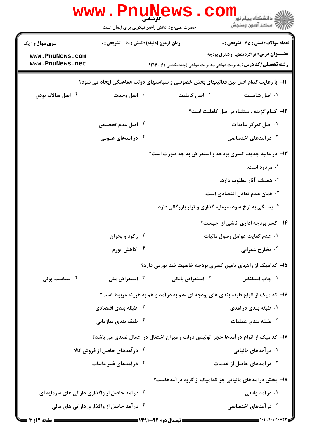|                                                                                     | <b>www.PnuN</b><br>کارشناسی<br>حضرت علی(ع): دانش راهبر نیکویی برای ایمان است |                                                        | الله دانشگاه پیام نور COM<br>اگر دانشگاه پیام نور<br>اگر مرکز آنههن وسنجش                                               |  |
|-------------------------------------------------------------------------------------|------------------------------------------------------------------------------|--------------------------------------------------------|-------------------------------------------------------------------------------------------------------------------------|--|
| <b>سری سوال : ۱ یک</b>                                                              | زمان آزمون (دقیقه) : تستی : 60 ٪ تشریحی : 0                                  |                                                        | <b>تعداد سوالات : تستی : 35 - تشریحی : 0</b>                                                                            |  |
| www.PnuNews.com<br>www.PnuNews.net                                                  |                                                                              |                                                        | <b>عنـــوان درس:</b> فراگردتنظیم وکنترل بودجه<br><b>رشته تحصیلی/کد درس:</b> مدیریت دولتی،مدیریت دولتی (چندبخشی )۱۲۱۴۰۰۶ |  |
| 11- با رعایت کدام اصل بین فعالیتهای بخش خصوصی و سیاستهای دولت هماهنگی ایجاد می شود؟ |                                                                              |                                                        |                                                                                                                         |  |
| ۰۴ اصل سالانه بودن                                                                  | ۰۳ اصل وحدت                                                                  | <sup>۲.</sup> اصل کاملیت                               | ۰۱ اصل شاملیت                                                                                                           |  |
|                                                                                     |                                                                              |                                                        | ۱۲- کدام گزینه ،استثناء بر اصل کاملیت است؟                                                                              |  |
|                                                                                     | ۰ <sup>۲</sup> اصل عدم تخصیص                                                 |                                                        | ۰۱ اصل تمرکز عایدات                                                                                                     |  |
|                                                                                     | ۰۴ در آمدهای عمومی                                                           |                                                        | ۰ <sup>۳ و</sup> ر آمدهای اختصاصی <b>۴</b>                                                                              |  |
|                                                                                     |                                                                              |                                                        | ۱۳- در مالیه جدید، کسری بودجه و استقراض به چه صورت است؟                                                                 |  |
|                                                                                     |                                                                              |                                                        | ۰۱ مردود است.                                                                                                           |  |
|                                                                                     |                                                                              |                                                        | ۰ <sup>۲</sup> همیشه آثار مطلوب دارد.                                                                                   |  |
|                                                                                     |                                                                              |                                                        | همان عدم تعادل اقتصادی است. $^\circ$                                                                                    |  |
|                                                                                     |                                                                              | ۰۴ بستگی به نرخ سود سرمایه گذاری و تراز بازرگانی دارد. |                                                                                                                         |  |
|                                                                                     |                                                                              |                                                        | ۱۴- کسر بودجه اداری ناشی از چیست؟                                                                                       |  |
|                                                                                     | ۰۲ رکود و بحران                                                              |                                                        | ۰۱ عدم کفایت عوامل وصول مالیات                                                                                          |  |
|                                                                                     | ۰۴ کاهش تورم                                                                 |                                                        | ۰۳ مخارج عمرانی                                                                                                         |  |
|                                                                                     |                                                                              |                                                        | ۱۵– کدامیک از راههای تامین کسری بودجه خاصیت ضد تورمی دارد؟                                                              |  |
| ۰۴ سیاست یولی                                                                       | استقراض ملی $\cdot^{\mathsf{v}}$                                             | استقراض بانکی $\cdot$ ۲ استقراض $\cdot$                | ۰۱ چاپ اسکناس                                                                                                           |  |
|                                                                                     |                                                                              |                                                        | ۱۶- کدامیک از انواع طبقه بندی های بودجه ای ،هم به درآمد و هم به هزینه مربوط است؟                                        |  |
|                                                                                     | <sup>۲ .</sup> طبقه بندی اقتصادی                                             |                                                        | ۰۱ طبقه بندی درآمدی                                                                                                     |  |
|                                                                                     | ۰ <sup>۴</sup> طبقه بندی سازمانی                                             |                                                        | طبقه بندى عمليات $\cdot^{\mathsf{y}}$                                                                                   |  |
|                                                                                     |                                                                              |                                                        | ۱۷– کدامیک از انواع در آمدها،حجم تولیدی دولت و میزان اشتغال در اعمال تصدی می باشد؟                                      |  |
|                                                                                     | <sup>۲</sup> ۰ درآمدهای حاصل از فروش کالا                                    |                                                        | ۰۱ در آمدهای مالیاتی                                                                                                    |  |
|                                                                                     | ۰ <sup>۴</sup> در آمدهای غیر مالیات                                          |                                                        | ۰ <sup>۳</sup> در آمدهای حاصل از خدمات                                                                                  |  |
|                                                                                     |                                                                              |                                                        | <b>۱۸- بخش درآمدهای مالیاتی جز کدامیک از گروه درآمدهاست؟</b>                                                            |  |
| <sup>۲</sup> ۰ در آمد حاصل از واگذاری دارائی های سرمایه ای                          |                                                                              |                                                        | ۰۱ در آمد واقعی                                                                                                         |  |
|                                                                                     | ۰۴ در آمد حاصل از واگذاری دارائی های مالی                                    |                                                        | ۰۳ در آمدهای اختصاصی                                                                                                    |  |
|                                                                                     |                                                                              |                                                        |                                                                                                                         |  |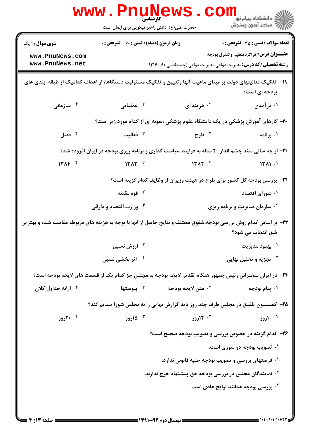|                                                                                                                                       | <b>www.Pnunews.co</b><br>حضرت علی(ع): دانش راهبر نیکویی برای ایمان است                                  |                         | ڪ دانشڪاه پيا <sub>م</sub> نور<br><mark>√</mark> مرڪز آزمون وسنڊش                                                                                                       |  |  |
|---------------------------------------------------------------------------------------------------------------------------------------|---------------------------------------------------------------------------------------------------------|-------------------------|-------------------------------------------------------------------------------------------------------------------------------------------------------------------------|--|--|
| <b>سری سوال : ۱ یک</b><br>www.PnuNews.com<br>www.PnuNews.net                                                                          | <b>زمان آزمون (دقیقه) : تستی : 60 ٪ تشریحی : 0</b>                                                      |                         | <b>تعداد سوالات : تستي : 35 ٪ تشریحي : 0</b><br><b>عنـــوان درس:</b> فراگردتنظیم وکنترل بودجه<br><b>رشته تحصیلی/کد درس:</b> مدیریت دولتی،مدیریت دولتی (چندبخشی )۱۲۱۴۰۰۶ |  |  |
| ۱۹– تفکیک فعالیتهای دولت بر مبنای ماهیت آنها وتعیین و تفکیک مسئولیت دستگاها، از اهداف کدامیک از طبقه بندی های<br>بودجه ای است؟        |                                                                                                         |                         |                                                                                                                                                                         |  |  |
| ا سازمانی $\cdot$ ۴                                                                                                                   | عملیاتی $\cdot$ $^{\mathsf{r}}$                                                                         | ۰ <sup>۲</sup> هزینه ای | ۰۱ در آمدی                                                                                                                                                              |  |  |
|                                                                                                                                       | ۲۰- کارهای آموزش پزشکی در یک دانشگاه علوم پزشکی ،نمونه ای از کدام مورد زیر است؟                         |                         |                                                                                                                                                                         |  |  |
| فصل $\cdot$ *                                                                                                                         | فعاليت $\cdot$                                                                                          | ۰ <sup>۲</sup> طرح      | ۰۱ برنامه                                                                                                                                                               |  |  |
| <b>۲۱</b> - از چه سالی سند چشم انداز ۲۰ ساله به فرایند سیاست گذاری و برنامه ریزی بودجه در ایران افزوده شد؟                            |                                                                                                         |                         |                                                                                                                                                                         |  |  |
| $14\pi$ $\uparrow$ $\uparrow$                                                                                                         | $14.44$ $14.7$                                                                                          | 147.7                   | 14M.1                                                                                                                                                                   |  |  |
| ۲۲- بررسی بودجه کل کشور برای طرح در هیئت وزیران از وظایف کدام گزینه است؟                                                              |                                                                                                         |                         |                                                                                                                                                                         |  |  |
|                                                                                                                                       | ۰ <sup>۲</sup> قوه مقننه                                                                                |                         | ۰۱ شورای اقتصاد                                                                                                                                                         |  |  |
|                                                                                                                                       | ۰۴ وزارت اقتصاد و دارائی                                                                                |                         | شازمان مدیریت و برنامه ریزی $\cdot^{\texttt{w}}$                                                                                                                        |  |  |
| ۲۳- بر اساس کدام روش بررسی بودجه،شقوق مختلف و نتایج حاصل از انها با توجه به هزینه های مربوطه مقایسه شده و بهترین<br>شق انتخاب می شود؟ |                                                                                                         |                         |                                                                                                                                                                         |  |  |
|                                                                                                                                       | ۰ <sup>۲</sup> ارزش نسبی                                                                                |                         | ۰۱ بهبود مديريت                                                                                                                                                         |  |  |
|                                                                                                                                       | ۰۴ اثر بخشی نسبی                                                                                        |                         | تجزیه و تحلیل نهایی $\cdot$                                                                                                                                             |  |  |
|                                                                                                                                       | ۲۴- در ایران سخنرانی رئیس جمهور هنگام تقدیم لایحه بودجه به مجلس جز کدام یک از قسمت های لایحه بودجه است؟ |                         |                                                                                                                                                                         |  |  |
| ۰ <sup>۴</sup> ارائه جداول کلان                                                                                                       | يوستها $\cdot^{\mathsf{v}}$                                                                             | ۲. متن لايحه بودجه      | ۰۱ پیام بودجه                                                                                                                                                           |  |  |
| ۲۵- کمیسیون تلفیق در مجلس ظرف چند روز باید گزارش نهایی را به مجلس شورا تقدیم کند؟                                                     |                                                                                                         |                         |                                                                                                                                                                         |  |  |
| ۰۰ ۲۰ روز                                                                                                                             | ۰۳ ۱۵روز                                                                                                | <sup>۲.</sup> ۱۲روز     | ۰۱ ۱۰روز                                                                                                                                                                |  |  |
|                                                                                                                                       |                                                                                                         |                         | ۲۶- کدام گزینه در خصوص بررسی و تصویب بودجه صحیح است؟                                                                                                                    |  |  |
|                                                                                                                                       |                                                                                                         |                         | ۰۱ تصویب بودجه دو شوری است.                                                                                                                                             |  |  |
| <b>۲۰ فرصتهای بررسی و تصویب بودجه جنبه قانونی ندارد.</b>                                                                              |                                                                                                         |                         |                                                                                                                                                                         |  |  |
| نمایندگان مجلس در بررسی بودجه حق پیشنهاد خرج ندارند. $\cdot$                                                                          |                                                                                                         |                         |                                                                                                                                                                         |  |  |
|                                                                                                                                       |                                                                                                         |                         | ۰۴ بررسی بودجه همانند لوایح عادی است.                                                                                                                                   |  |  |
|                                                                                                                                       |                                                                                                         |                         |                                                                                                                                                                         |  |  |